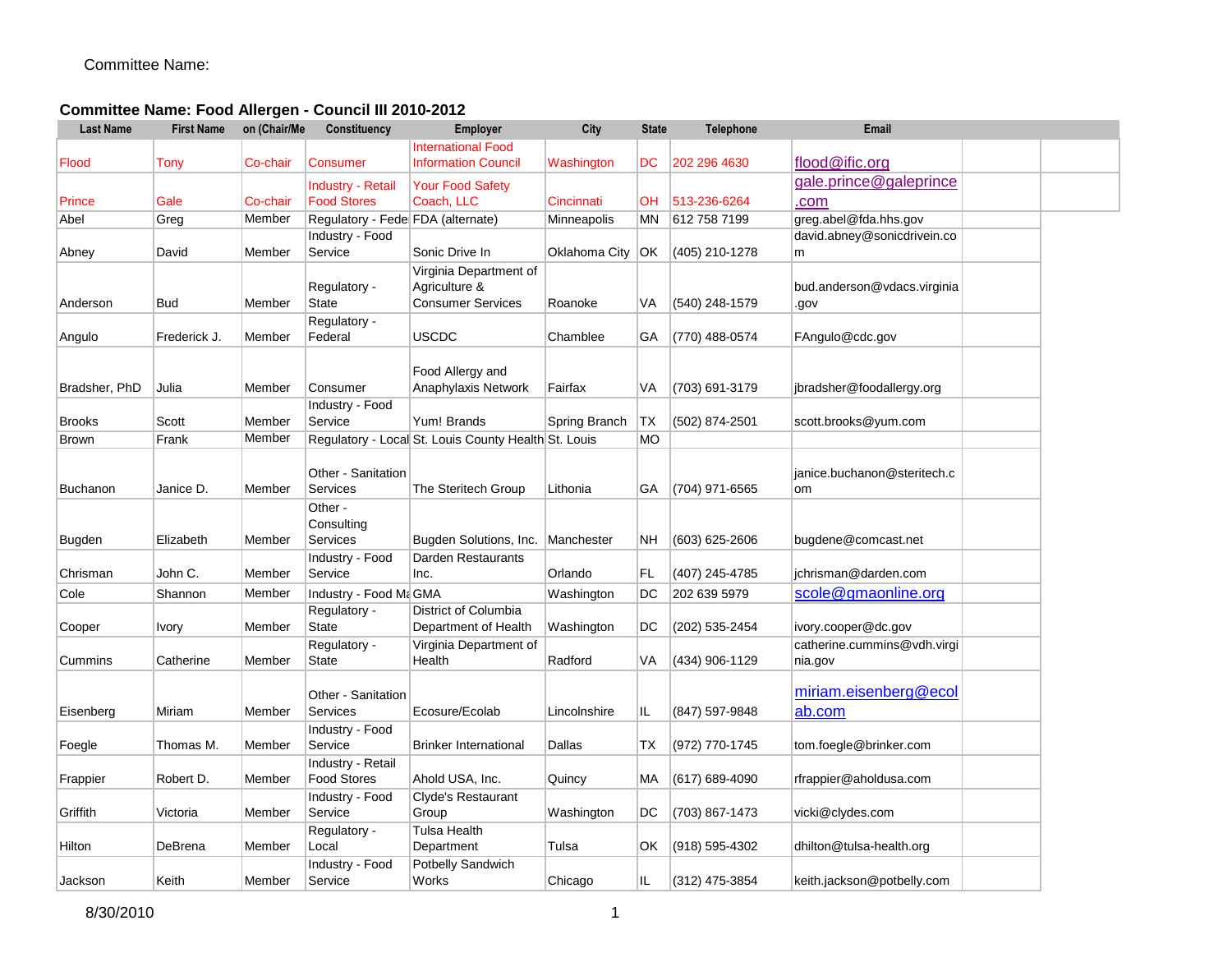## **Committee Name: Food Allergen - Council III 2010-2012**

| <b>Last Name</b> | <b>First Name</b> | on (Chair/Me | Constituency                            | Employer                                                            | City          | <b>State</b> | <b>Telephone</b> | <b>Email</b>                           |  |
|------------------|-------------------|--------------|-----------------------------------------|---------------------------------------------------------------------|---------------|--------------|------------------|----------------------------------------|--|
|                  |                   |              |                                         | <b>International Food</b>                                           |               |              |                  |                                        |  |
| Flood            | Tony              | Co-chair     | Consumer                                | <b>Information Council</b>                                          | Washington    | DC.          | 202 296 4630     | flood@ific.org                         |  |
|                  |                   |              | <b>Industry - Retail</b>                | <b>Your Food Safety</b>                                             |               |              |                  | gale.prince@galeprince                 |  |
| Prince           | Gale              | Co-chair     | <b>Food Stores</b>                      | Coach, LLC                                                          | Cincinnati    | <b>OH</b>    | 513-236-6264     | .com                                   |  |
| Abel             | Greg              | Member       | Regulatory - Fede FDA (alternate)       |                                                                     | Minneapolis   | MN           | 612 758 7199     | greg.abel@fda.hhs.gov                  |  |
|                  |                   |              | Industry - Food                         |                                                                     |               |              |                  | david.abney@sonicdrivein.co            |  |
| Abney            | David             | Member       | Service                                 | Sonic Drive In                                                      | Oklahoma City | IOK.         | (405) 210-1278   | m                                      |  |
| Anderson         | Bud               | Member       | Regulatory -<br><b>State</b>            | Virginia Department of<br>Agriculture &<br><b>Consumer Services</b> | Roanoke       | VA           | (540) 248-1579   | bud.anderson@vdacs.virginia<br>.gov    |  |
| Angulo           | Frederick J.      | Member       | Regulatory -<br>Federal                 | USCDC                                                               | Chamblee      | GA.          | (770) 488-0574   | FAngulo@cdc.gov                        |  |
| Bradsher, PhD    | Julia             | Member       | Consumer                                | Food Allergy and<br>Anaphylaxis Network                             | Fairfax       | VA           | (703) 691-3179   | jbradsher@foodallergy.org              |  |
| Brooks           | Scott             | Member       | Industry - Food<br>Service              | Yum! Brands                                                         | Spring Branch | ∣TX          | (502) 874-2501   | scott.brooks@yum.com                   |  |
| Brown            | Frank             | Member       |                                         | Regulatory - Local St. Louis County Health St. Louis                |               | <b>MO</b>    |                  |                                        |  |
| Buchanon         | Janice D.         | Member       | Other - Sanitation<br>Services          | The Steritech Group                                                 | Lithonia      | GA           | (704) 971-6565   | janice.buchanon@steritech.c<br>om      |  |
| Bugden           | Elizabeth         | Member       | Other -<br>Consulting<br>Services       | Bugden Solutions, Inc.                                              | Manchester    | NH           | (603) 625-2606   | bugdene@comcast.net                    |  |
| Chrisman         | John C.           | Member       | Industry - Food<br>Service              | <b>Darden Restaurants</b><br>Inc.                                   | Orlando       | FL           | (407) 245-4785   | jchrisman@darden.com                   |  |
| Cole             | Shannon           | Member       | Industry - Food Ma GMA                  |                                                                     | Washington    | DC           | 202 639 5979     | scole@gmaonline.org                    |  |
| Cooper           | Ivory             | Member       | Regulatory -<br><b>State</b>            | District of Columbia<br>Department of Health                        | Washington    | DC           | (202) 535-2454   | ivory.cooper@dc.gov                    |  |
| Cummins          | Catherine         | Member       | Regulatory -<br><b>State</b>            | Virginia Department of<br>Health                                    | Radford       | VA           | (434) 906-1129   | catherine.cummins@vdh.virgi<br>nia.gov |  |
| Eisenberg        | Miriam            | Member       | Other - Sanitation<br><b>Services</b>   | Ecosure/Ecolab                                                      | Lincolnshire  | IL           | (847) 597-9848   | miriam.eisenberg@ecol<br>ab.com        |  |
| Foegle           | Thomas M.         | Member       | Industry - Food<br>Service              | <b>Brinker International</b>                                        | Dallas        | TX           | (972) 770-1745   | tom.foegle@brinker.com                 |  |
| Frappier         | Robert D.         | Member       | Industry - Retail<br><b>Food Stores</b> | Ahold USA, Inc.                                                     | Quincy        | МA           | (617) 689-4090   | rfrappier@aholdusa.com                 |  |
| Griffith         | Victoria          | Member       | Industry - Food<br>Service              | Clyde's Restaurant<br>Group                                         | Washington    | DC           | (703) 867-1473   | vicki@clydes.com                       |  |
| Hilton           | DeBrena           | Member       | Regulatory -<br>Local                   | Tulsa Health<br>Department                                          | Tulsa         | OK           | (918) 595-4302   | dhilton@tulsa-health.org               |  |
| Jackson          | Keith             | Member       | Industry - Food<br>Service              | Potbelly Sandwich<br>Works                                          | Chicago       | IL.          | (312) 475-3854   | keith.jackson@potbelly.com             |  |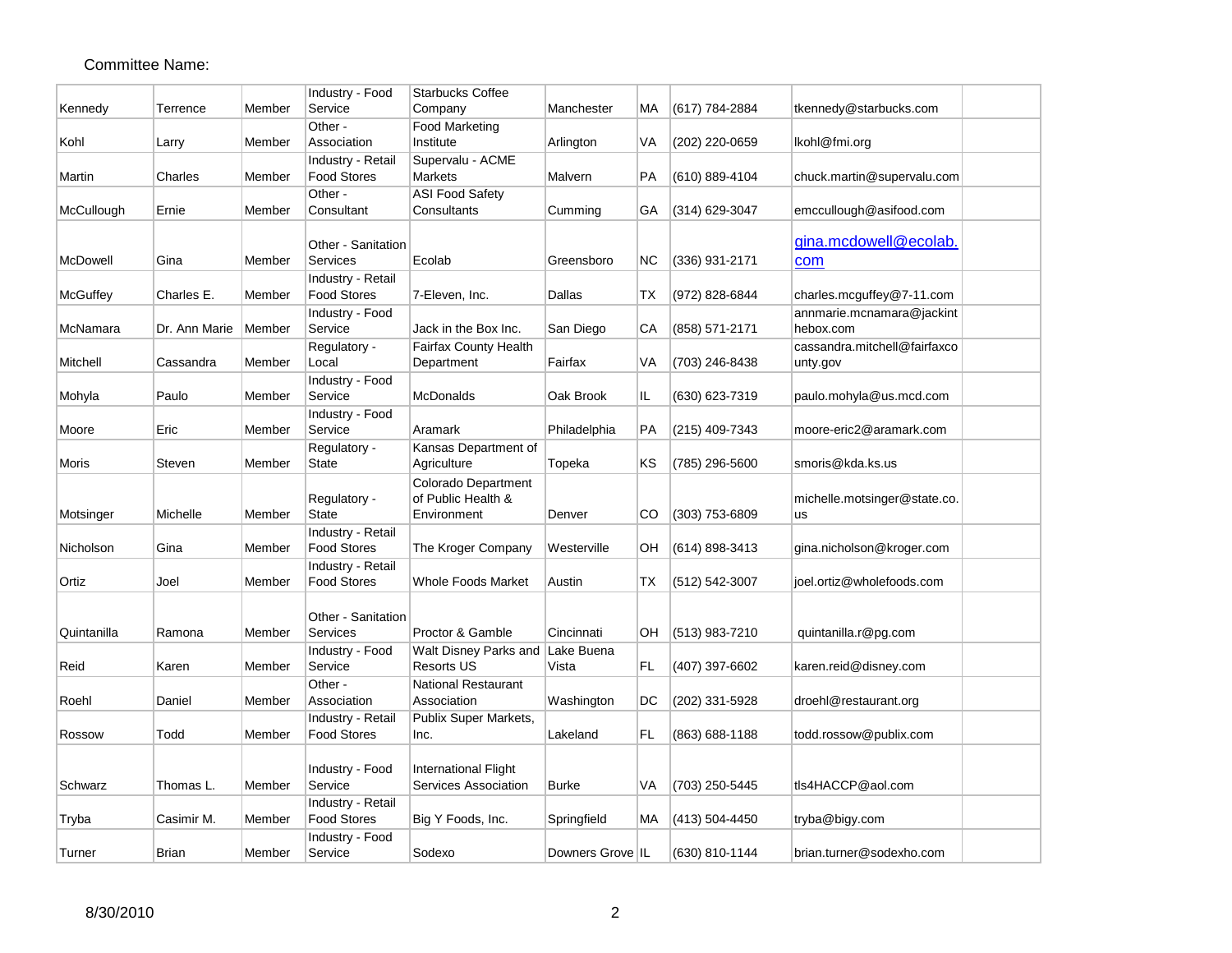|             |               |        | Industry - Food        | <b>Starbucks Coffee</b>      |                  |           |                  |                              |  |
|-------------|---------------|--------|------------------------|------------------------------|------------------|-----------|------------------|------------------------------|--|
| Kennedy     | Terrence      | Member | Service                | Company                      | Manchester       | MA        | (617) 784-2884   | tkennedy@starbucks.com       |  |
| Kohl        | Larry         | Member | Other -<br>Association | Food Marketing<br>Institute  | Arlington        | VA        | (202) 220-0659   | lkohl@fmi.org                |  |
|             |               |        | Industry - Retail      | Supervalu - ACME             |                  |           |                  |                              |  |
| Martin      | Charles       | Member | <b>Food Stores</b>     | Markets                      | Malvern          | PA        | (610) 889-4104   | chuck.martin@supervalu.com   |  |
|             |               |        | Other -                | <b>ASI Food Safety</b>       |                  |           |                  |                              |  |
| McCullough  | Ernie         | Member | Consultant             | Consultants                  | Cumming          | GА        | (314) 629-3047   | emccullough@asifood.com      |  |
|             |               |        |                        |                              |                  |           |                  |                              |  |
|             |               |        | Other - Sanitation     |                              |                  |           |                  | gina.mcdowell@ecolab.        |  |
| McDowell    | Gina          | Member | Services               | Ecolab                       | Greensboro       | <b>NC</b> | (336) 931-2171   | com                          |  |
|             |               |        | Industry - Retail      |                              |                  |           |                  |                              |  |
| McGuffey    | Charles E.    | Member | <b>Food Stores</b>     | 7-Eleven, Inc.               | Dallas           | ТX        | (972) 828-6844   | charles.mcguffey@7-11.com    |  |
|             |               |        | Industry - Food        |                              |                  |           |                  | annmarie.mcnamara@jackint    |  |
| McNamara    | Dr. Ann Marie | Member | Service                | Jack in the Box Inc.         | San Diego        | СA        | (858) 571-2171   | hebox.com                    |  |
|             |               |        | Regulatory -           | <b>Fairfax County Health</b> |                  |           |                  | cassandra.mitchell@fairfaxco |  |
| Mitchell    | Cassandra     | Member | Local                  | Department                   | Fairfax          | VA        | (703) 246-8438   | unty.gov                     |  |
|             |               |        | Industry - Food        |                              |                  |           |                  |                              |  |
| Mohyla      | Paulo         | Member | Service                | <b>McDonalds</b>             | Oak Brook        | IL.       | (630) 623-7319   | paulo.mohyla@us.mcd.com      |  |
|             |               |        | Industry - Food        |                              |                  |           |                  |                              |  |
| Moore       | Eric          | Member | Service                | Aramark                      | Philadelphia     | PA        | (215) 409-7343   | moore-eric2@aramark.com      |  |
|             |               |        | Regulatory -           | Kansas Department of         |                  |           |                  |                              |  |
| Moris       | Steven        | Member | State                  | Agriculture                  | Topeka           | KS        | (785) 296-5600   | smoris@kda.ks.us             |  |
|             |               |        |                        | Colorado Department          |                  |           |                  |                              |  |
|             |               |        | Regulatory -           | of Public Health &           |                  |           |                  | michelle.motsinger@state.co. |  |
| Motsinger   | Michelle      | Member | <b>State</b>           | Environment                  | Denver           | CO        | (303) 753-6809   | <b>us</b>                    |  |
|             |               |        | Industry - Retail      |                              |                  |           |                  |                              |  |
| Nicholson   | Gina          | Member | <b>Food Stores</b>     | The Kroger Company           | Westerville      | OН        | (614) 898-3413   | gina.nicholson@kroger.com    |  |
|             |               |        | Industry - Retail      |                              |                  |           |                  |                              |  |
| Ortiz       | Joel          | Member | <b>Food Stores</b>     | <b>Whole Foods Market</b>    | Austin           | ТX        | (512) 542-3007   | joel.ortiz@wholefoods.com    |  |
|             |               |        |                        |                              |                  |           |                  |                              |  |
|             |               |        | Other - Sanitation     |                              |                  |           |                  |                              |  |
| Quintanilla | Ramona        | Member | Services               | Proctor & Gamble             | Cincinnati       | OН        | $(513)$ 983-7210 | quintanilla.r@pg.com         |  |
|             |               |        | Industry - Food        | Walt Disney Parks and        | Lake Buena       |           |                  |                              |  |
| Reid        | Karen         | Member | Service                | <b>Resorts US</b>            | Vista            | FL.       | (407) 397-6602   | karen.reid@disney.com        |  |
|             |               |        | Other -                | National Restaurant          |                  |           |                  |                              |  |
| Roehl       | Daniel        | Member | Association            | Association                  | Washington       | DC        | (202) 331-5928   | droehl@restaurant.org        |  |
|             |               |        | Industry - Retail      | Publix Super Markets,        |                  |           |                  |                              |  |
| Rossow      | Todd          | Member | <b>Food Stores</b>     | Inc.                         | Lakeland         | FL.       | (863) 688-1188   | todd.rossow@publix.com       |  |
|             |               |        |                        |                              |                  |           |                  |                              |  |
|             |               |        | Industry - Food        | International Flight         |                  |           |                  |                              |  |
| Schwarz     | Thomas L.     | Member | Service                | Services Association         | <b>Burke</b>     | VA        | (703) 250-5445   | tls4HACCP@aol.com            |  |
|             |               |        | Industry - Retail      |                              |                  |           |                  |                              |  |
| Tryba       | Casimir M.    | Member | <b>Food Stores</b>     | Big Y Foods, Inc.            | Springfield      | МA        | (413) 504-4450   | tryba@bigy.com               |  |
|             |               |        | Industry - Food        |                              |                  |           |                  |                              |  |
| Turner      | <b>Brian</b>  | Member | Service                | Sodexo                       | Downers Grove IL |           | (630) 810-1144   | brian.turner@sodexho.com     |  |